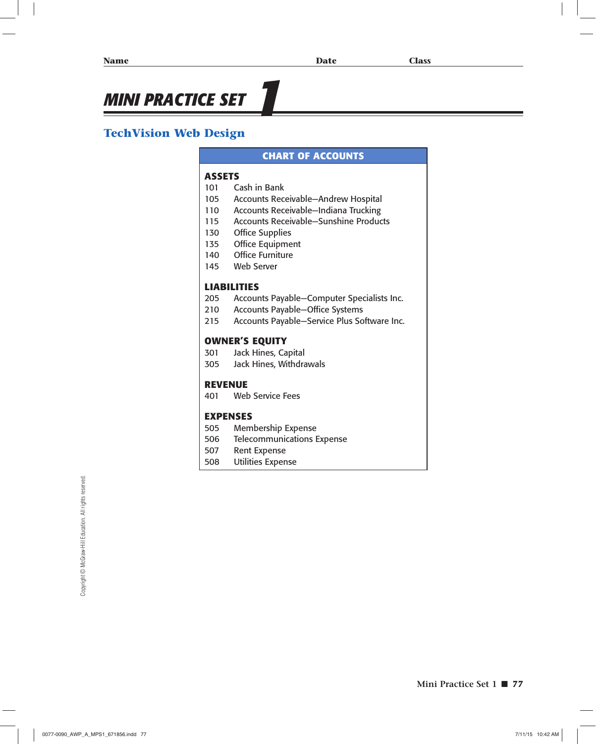# **MINI PRACTICE SET**

## **TechVision Web Design**

#### **CHART OF ACCOUNTS**

#### **ASSETS**

- 101 Cash in Bank
- 105 Accounts Receivable—Andrew Hospital
- 110 Accounts Receivable—Indiana Trucking
- 115 Accounts Receivable—Sunshine Products
- 130 Office Supplies
- 135 Office Equipment
- 140 Office Furniture
- 145 Web Server

#### **LIABILITIES**

- 205 Accounts Payable—Computer Specialists Inc.
- 210 Accounts Payable—Office Systems
- 215 Accounts Payable—Service Plus Software Inc.

#### **OWNER'S EQUITY**

- 301 Jack Hines, Capital
- 305 Jack Hines, Withdrawals

#### **REVENUE**

401 Web Service Fees

#### **EXPENSES**

- 505 Membership Expense
- 506 Telecommunications Expense
- 507 Rent Expense
- 508 Utilities Expense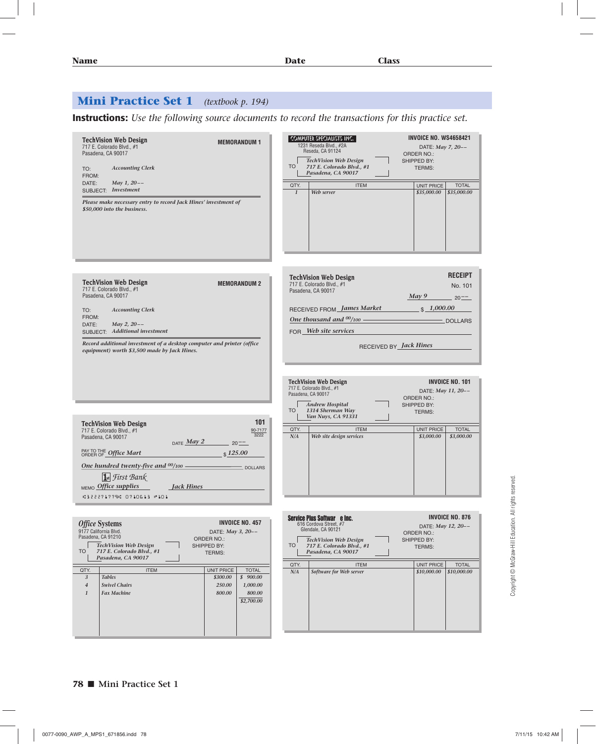# **Mini Practice Set 1** *(textbook p. 194)*

**Instructions:** *Use the following source documents to record the transactions for this practice set.*

| <b>TechVision Web Design</b><br><b>MEMORANDUM1</b><br>717 E. Colorado Blvd., #1<br>Pasadena, CA 90017<br><b>Accounting Clerk</b><br>TO:<br>FROM:<br>May 1, 20--<br>DATE:<br>SUBJECT: Investment<br>Please make necessary entry to record Jack Hines' investment of<br>\$50,000 into the business.                                     | <b>INVOICE NO. WS4658421</b><br>  COMPUTER SPECIALISTS INC.  <br>1231 Reseda Blvd., #2A<br>DATE: May 7, 20--<br>Reseda, CA 91124<br><b>ORDER NO.:</b><br><b>TechVision Web Design</b><br>SHIPPED BY:<br><b>TO</b><br>717 E. Colorado Blvd., #1<br><b>TERMS:</b><br>Pasadena, CA 90017<br><b>ITEM</b><br>UNIT PRICE<br>QTY.<br><b>TOTAL</b><br>$\mathbf{1}$<br>Web server<br>\$35,000.00<br>\$35,000.00 |
|---------------------------------------------------------------------------------------------------------------------------------------------------------------------------------------------------------------------------------------------------------------------------------------------------------------------------------------|--------------------------------------------------------------------------------------------------------------------------------------------------------------------------------------------------------------------------------------------------------------------------------------------------------------------------------------------------------------------------------------------------------|
| <b>TechVision Web Design</b><br><b>MEMORANDUM 2</b><br>717 E. Colorado Blvd., #1<br>Pasadena, CA 90017<br><b>Accounting Clerk</b><br>TO:<br>FROM:<br>May 2, 20--<br>DATE:<br>SUBJECT: Additional investment<br>Record additional investment of a desktop computer and printer (office<br>equipment) worth \$3,500 made by Jack Hines. | <b>RECEIPT</b><br><b>TechVision Web Design</b><br>717 E. Colorado Blvd., #1<br>No. 101<br>Pasadena, CA 90017<br>May 9<br>$20^{--}$<br>RECEIVED FROM James Market<br>$\frac{$1,000.00}{}$<br>One thousand and $00/100$ –<br>$-$ DOLLARS<br>FOR Web site services<br>RECEIVED BY <i>Jack Hines</i>                                                                                                       |
| 101<br><b>TechVision Web Design</b><br>90-7177<br>717 E. Colorado Blvd., #1<br>3222<br>Pasadena, CA 90017<br>DATE $May 2$ 20-<br>\$125.00<br>PAY TO THE Office Mart<br>One hundred twenty-five and <sup>00</sup> /100 – DOLLARS                                                                                                       | <b>INVOICE NO. 101</b><br><b>TechVision Web Design</b><br>717 E. Colorado Blvd., #1<br>DATE: May 11, 20--<br>Pasadena, CA 90017<br><b>ORDER NO.:</b><br><b>Andrew Hospital</b><br>SHIPPED BY:<br><b>TO</b><br>1314 Sherman Way<br><b>TERMS:</b><br>Van Nuys, CA 91331<br>QTY.<br><b>ITEM</b><br>UNIT PRICE<br><b>TOTAL</b><br>N/A<br>Web site design services<br>\$3,000.00<br>\$3,000.00              |
| <b>Ist</b> First Bank<br>MEMO Office supplies<br><b>Jack Hines</b><br>#322271779# 0710613 #101                                                                                                                                                                                                                                        |                                                                                                                                                                                                                                                                                                                                                                                                        |

Copyright @ McGraw-Hill Education. All rights reserved. Copyright © McGraw-Hill Education. All rights reserved.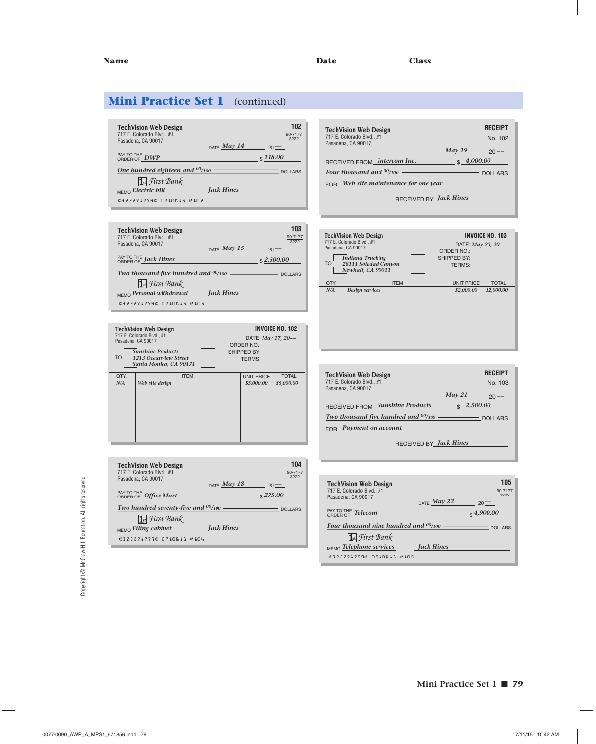| <b>TechVision Web Design</b>            | 102             |
|-----------------------------------------|-----------------|
| 717 E. Colorado Blvd., #1               | 90-7177<br>3222 |
| Pasadena, CA 90017<br>DATE May 14       |                 |
|                                         | $20 - -$        |
| PAY TO THE DWP                          | $\sqrt{118.00}$ |
|                                         |                 |
| One hundred eighteen and $00/100$       | <b>DOLLARS</b>  |
| 1st First Bank                          |                 |
| <b>Jack Hines</b><br>MEMO Electric bill |                 |
| למני בנפתנלת מפללנלנו                   |                 |
|                                         |                 |

| <b>TechVision Web Design</b><br>717 E. Colorado Blvd., #1<br>Pasadena, CA 90017 | $_{\text{DATE}}$ May 15 | 103<br>90-7177<br>3222<br>$20^{--}$ |
|---------------------------------------------------------------------------------|-------------------------|-------------------------------------|
| PAY TO THE <i>Jack Hines</i>                                                    |                         | \$2,500.00                          |
| Two thousand five hundred and $00/100$ $\_\_$                                   |                         | <b>DOLLARS</b>                      |
| 1st First Bank<br>MEMO Personal withdrawal<br>.322271779. 8718613 -183          | <b>Jack Hines</b>       |                                     |

| <b>TO</b> | <b>TechVision Web Design</b><br>717 E. Colorado Blvd., #1<br>Pasadena, CA 90017<br><b>Sunshine Products</b><br>1213 Oceanview Street<br>Santa Monica, CA 90171 | INVOICE NO. 102<br>DATE: May 17, 20--<br>ORDER NO.:<br>SHIPPED BY:<br><b>TERMS:</b> |                   |              |
|-----------|----------------------------------------------------------------------------------------------------------------------------------------------------------------|-------------------------------------------------------------------------------------|-------------------|--------------|
| QTY.      | <b>ITEM</b>                                                                                                                                                    |                                                                                     | <b>UNIT PRICE</b> | <b>TOTAL</b> |
| N/A       | Web site design                                                                                                                                                |                                                                                     | \$5,000.00        | \$5,000.00   |

| <b>TechVision Web Design</b><br>717 E. Colorado Blvd., #1<br>Pasadena, CA 90017 | 90-717                                                  |
|---------------------------------------------------------------------------------|---------------------------------------------------------|
| PAY TO THE Office Mart                                                          | $_{\text{DATE}}$ May 18<br>$20^{--}$<br>$\sqrt{275.00}$ |
| Two hundred seventy-five and $00/100$ .                                         |                                                         |
| $\int$ st First Bank                                                            |                                                         |
| MEMO Filing cabinet                                                             | Jack Hines                                              |
| <b>13222717791 8718613 #184</b>                                                 |                                                         |

| <b>TechVision Web Design</b><br>717 E. Colorado Blvd., #1<br>Pasadena, CA 90017 | <b>RECEIPT</b><br>No. 102 |
|---------------------------------------------------------------------------------|---------------------------|
| <b>May 19</b>                                                                   |                           |
| \$4,000.00<br>RECEIVED FROM Intercom Inc.                                       |                           |
| Four thousand and $\frac{00}{100}$ — — —                                        | DOLLARS                   |
| Web site maintenance for one year                                               |                           |
| RECEIVED BY <i>Jack Hines</i>                                                   |                           |

| Pasadena, CA 90017<br><b>TO</b> | <b>TechVision Web Design</b><br>717 E. Colorado Blvd., #1<br><b>Indiana Trucking</b><br>28111 Soledad Canyon<br>Newhall, CA 90011 | <b>INVOICE NO. 103</b><br>DATE: May 20, 20--<br>ORDER NO.:<br>SHIPPED BY:<br><b>TERMS:</b> |                   |              |
|---------------------------------|-----------------------------------------------------------------------------------------------------------------------------------|--------------------------------------------------------------------------------------------|-------------------|--------------|
| QTY.                            | <b>ITEM</b>                                                                                                                       |                                                                                            | <b>UNIT PRICE</b> | <b>TOTAL</b> |
| N/A                             | Design services                                                                                                                   |                                                                                            | \$2,000.00        | \$2,000.00   |

| <b>TechVision Web Design</b>                      |                          | <b>RECEIPT</b> |
|---------------------------------------------------|--------------------------|----------------|
| 717 E. Colorado Blvd., #1<br>Pasadena, CA 90017   |                          | No. 103        |
|                                                   | May 21                   | $20 - -$       |
| <b>Sunshine Products</b><br><b>RECEIVED FROM_</b> | $\frac{1}{2}$ , 2,500.00 |                |
| Two thousand five hundred and $00/100$ — — — — —  |                          | <b>DOLLARS</b> |
| $FOR$ Payment on account                          |                          |                |
|                                                   |                          |                |

RECEIVED BY *Jack Hines*

| <b>TechVision Web Design</b><br>717 E. Colorado Blvd., #1<br>Pasadena, CA 90017 | $_{\text{DATE}}$ May 22 | 105<br>90-7177<br>3222<br>$20 - -$ |
|---------------------------------------------------------------------------------|-------------------------|------------------------------------|
| PAY TO THE Telecom                                                              |                         | $\frac{1}{2}$ 4,900.00             |
| Four thousand nine hundred and $00/100$                                         |                         | DOLLARS                            |
| 1st First Bank                                                                  |                         |                                    |
| MEMO Telephone services                                                         | <b>Jack Hines</b>       |                                    |
| .:322271779. 8718613 ™185                                                       |                         |                                    |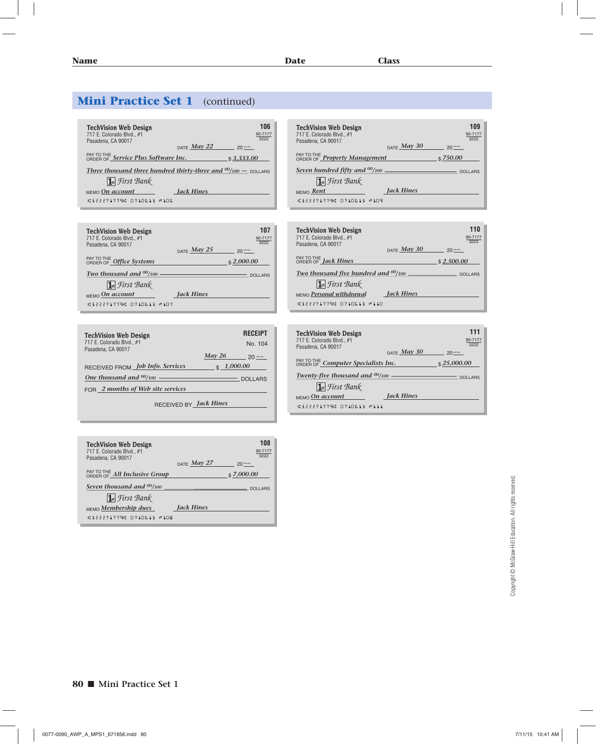| <b>TechVision Web Design</b><br>717 E. Colorado Blvd., #1<br>Pasadena, CA 90017     | 106<br>90-7177<br>3222 |
|-------------------------------------------------------------------------------------|------------------------|
| DATE $May 22$                                                                       | $20 - -$               |
| PAY TO THE Service Plus Software Inc.                                               | \$3,333.00             |
| Three thousand three hundred thirty-three and $\frac{00}{100}$ – <sub>DOLLARS</sub> |                        |
| 1st First Bank                                                                      |                        |
| <b>Jack Hines</b><br>$MEMO$ On account                                              |                        |
| .:322271779. 8718613 ™186                                                           |                        |

| <b>TechVision Web Design</b><br>717 E. Colorado Blvd., #1<br>Pasadena, CA 90017 | DATE $May 25$     | 107<br>3222<br>$20 - -$ |
|---------------------------------------------------------------------------------|-------------------|-------------------------|
| PAY TO THE Office Systems                                                       |                   | \$2,000.00              |
| Two thousand and $00/100$                                                       |                   | <b>DOLLARS</b>          |
| <b>1st</b> First Bank                                                           |                   |                         |
| $MEMO$ On account                                                               | <b>Jack Hines</b> |                         |
| C322271779C 8718613<br>$\mathbb{P}$ 10 7                                        |                   |                         |

| <b>TechVision Web Design</b><br>717 E. Colorado Blvd., #1<br>Pasadena, CA 90017 |            | <b>RECEIPT</b><br>No. 104 |
|---------------------------------------------------------------------------------|------------|---------------------------|
|                                                                                 | May 26     | $20 - -$                  |
| RECEIVED FROM Job Info. Services                                                | \$1,000.00 |                           |
|                                                                                 |            | DOLLARS                   |
| $FOR$ 2 months of Web site services                                             |            |                           |
|                                                                                 |            |                           |

RECEIVED BY *Jack Hines*

| <b>TechVision Web Design</b><br>717 E. Colorado Blvd., #1<br>Pasadena, CA 90017 |                         | 108<br>90-7177<br>3222 |
|---------------------------------------------------------------------------------|-------------------------|------------------------|
|                                                                                 | $_{\text{DATE}}$ May 27 | $20 - -$               |
| PAY TO THE All Inclusive Group                                                  |                         | \$7,000.00             |
| Seven thousand and $00/100$                                                     |                         | <b>DOLLARS</b>         |
| 1st First Bank                                                                  |                         |                        |
| MEMO Membership dues                                                            | <b>Jack Hines</b>       |                        |
| .:322271779. 8718613 ™188                                                       |                         |                        |

| <b>TechVision Web Design</b><br>717 E. Colorado Blvd., #1<br>Pasadena, CA 90017 | DATE $May 30$     | 109<br>90-7177<br>3222<br>$20 - -$ |
|---------------------------------------------------------------------------------|-------------------|------------------------------------|
| PAY TO THE <b>Property Management</b>                                           |                   | \$750.00                           |
|                                                                                 |                   | <b>DOLLARS</b>                     |
| $\overline{\mathbf{1}}$ st $\mathcal{F}$ tirst $\mathcal{B}$ an $\mathcal{K}$   |                   |                                    |
| MEMO Rent                                                                       | <b>Jack Hines</b> |                                    |
| .:322271779. 8718613 ™189                                                       |                   |                                    |

| <b>TechVision Web Design</b><br>717 E. Colorado Blvd., #1<br>Pasadena, CA 90017 | 110<br>90-7177<br>3222    |
|---------------------------------------------------------------------------------|---------------------------|
|                                                                                 | DATE $May 30$<br>$20 - -$ |
| PAY TO THE <b>Jack Hines</b>                                                    | \$2.500.00                |
|                                                                                 | <b>DOLLARS</b>            |
| <b>1st</b> First Bank                                                           |                           |
| MEMO Personal withdrawal                                                        | <b>Jack Hines</b>         |
| 03222717790 0710613 @110                                                        |                           |

| <b>TechVision Web Design</b><br>717 E. Colorado Blvd., #1<br>Pasadena, CA 90017 |                         | 111<br>90-7177<br>3222 |
|---------------------------------------------------------------------------------|-------------------------|------------------------|
|                                                                                 | $_{\text{DATE}}$ May 30 | $20 - -$               |
| PAY TO THE Computer Specialists Inc.                                            |                         | \$25,000.00            |
| Twenty-five thousand and $00/100$ —                                             |                         | <b>DOLLARS</b>         |
| $\prod$ <sub>st</sub> <i>First Bank</i>                                         |                         |                        |
| $MEMO$ On account                                                               | <b>Jack Hines</b>       |                        |
| <b>C322271779C 0710613 #111</b>                                                 |                         |                        |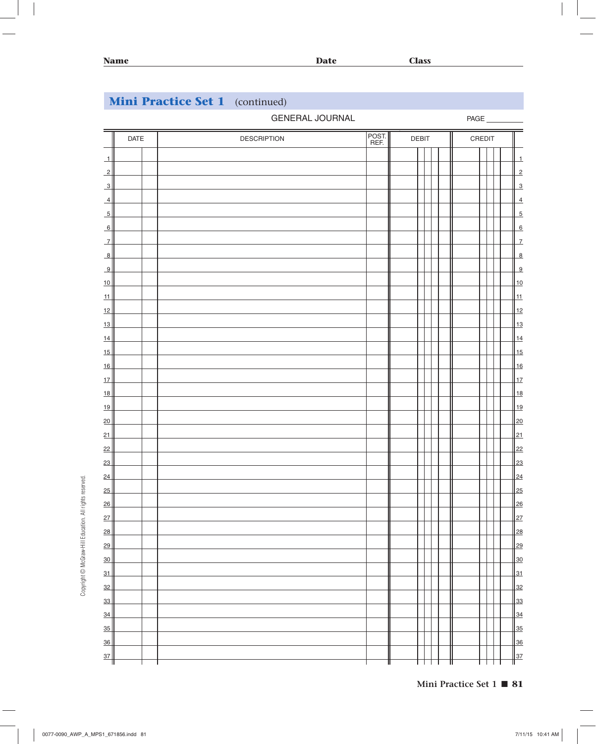### GENERAL JOURNAL

PAGE

|                          | <b>DATE</b> | <b>DESCRIPTION</b> | POST. | <b>DEBIT</b> |   | CREDIT |  |                |
|--------------------------|-------------|--------------------|-------|--------------|---|--------|--|----------------|
| $\overline{\mathcal{L}}$ |             |                    |       |              |   |        |  | $\overline{1}$ |
| $\overline{2}$           |             |                    |       |              |   |        |  | $\overline{2}$ |
| $\overline{\mathbf{3}}$  |             |                    |       |              |   |        |  | $\overline{3}$ |
| $\overline{4}$           |             |                    |       |              |   |        |  | $\overline{4}$ |
| $\overline{5}$           |             |                    |       |              |   |        |  | $\overline{5}$ |
| 6                        |             |                    |       |              |   |        |  | 6              |
| $\overline{1}$           |             |                    |       |              |   |        |  | $\overline{1}$ |
| $\frac{8}{1}$            |             |                    |       |              |   |        |  | $\overline{8}$ |
| 9                        |             |                    |       |              |   |        |  | $\overline{9}$ |
| $\frac{10}{10}$          |             |                    |       |              |   |        |  | 10             |
| 11                       |             |                    |       |              |   |        |  | 11             |
| 12                       |             |                    |       |              |   |        |  | 12             |
| $\frac{13}{2}$           |             |                    |       |              |   |        |  | $\frac{13}{2}$ |
| 14                       |             |                    |       |              |   |        |  | 14             |
| 15                       |             |                    |       |              |   |        |  | 15             |
| 16                       |             |                    |       |              |   |        |  | 16             |
| 17                       |             |                    |       |              |   |        |  | 17             |
| 18                       |             |                    |       |              |   |        |  | 18             |
| 19                       |             |                    |       |              |   |        |  | 19             |
| 20                       |             |                    |       |              |   |        |  | 20             |
| 21                       |             |                    |       |              |   |        |  | 21             |
| 22                       |             |                    |       |              |   |        |  | 22             |
| 23                       |             |                    |       |              |   |        |  | 23             |
| 24                       |             |                    |       |              |   |        |  | 24             |
| 25                       |             |                    |       |              |   |        |  | 25             |
| 26                       |             |                    |       |              |   |        |  | 26             |
| 27                       |             |                    |       |              |   |        |  | 27             |
| 28                       |             |                    |       |              |   |        |  | 28             |
| 29                       |             |                    |       |              |   |        |  | 29             |
| $\frac{30}{2}$           |             |                    |       |              |   |        |  | 30             |
| 31                       |             |                    |       |              |   |        |  | 31             |
| $\frac{32}{2}$           |             |                    |       |              |   |        |  | 32             |
| $\frac{33}{2}$           |             |                    |       |              |   |        |  | 33             |
| $\frac{34}{2}$           |             |                    |       |              |   |        |  | 34             |
| $\frac{35}{2}$           |             |                    |       |              |   |        |  | 35             |
| $\frac{36}{ }$           |             |                    |       |              |   |        |  | 36             |
| 37<br>Ш                  |             |                    |       |              | Ш |        |  | $\frac{37}{1}$ |

Copyright © McGraw-Hill Education. All rights reserved. Copyright © McGraw-Hill Education. All rights reserved.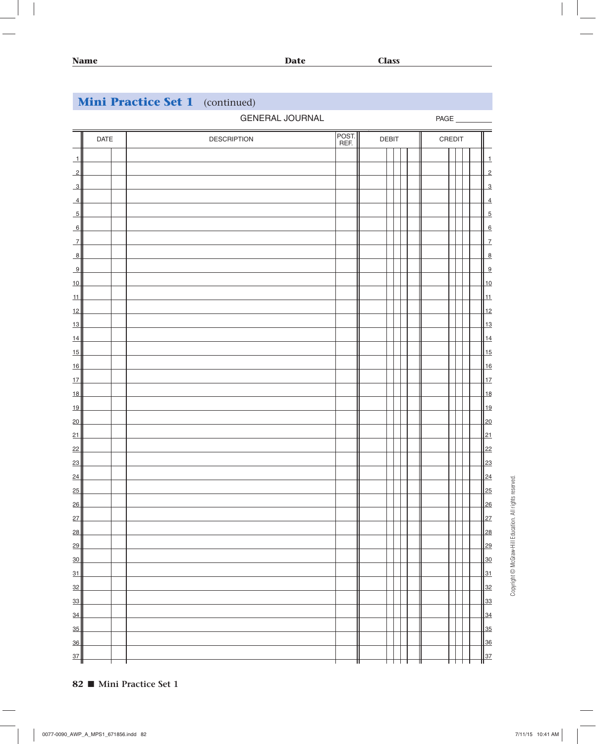|                         |      | <b>GENERAL JOURNAL</b> |               |              |  |        | PAGE |                 |
|-------------------------|------|------------------------|---------------|--------------|--|--------|------|-----------------|
|                         | DATE | <b>DESCRIPTION</b>     | POST.<br>REF. | <b>DEBIT</b> |  | CREDIT |      |                 |
| $\rightarrow$           |      |                        |               |              |  |        |      | $\mathbf{1}$    |
| $\overline{2}$          |      |                        |               |              |  |        |      | $\overline{c}$  |
| $\overline{\mathbf{3}}$ |      |                        |               |              |  |        |      | $\overline{3}$  |
| $\overline{4}$          |      |                        |               |              |  |        |      | $\overline{4}$  |
| $\overline{5}$          |      |                        |               |              |  |        |      | $\overline{5}$  |
| 6                       |      |                        |               |              |  |        |      | 6               |
| $\overline{1}$          |      |                        |               |              |  |        |      | $\overline{7}$  |
| $\frac{8}{3}$           |      |                        |               |              |  |        |      | $\overline{8}$  |
| 9                       |      |                        |               |              |  |        |      | $\overline{9}$  |
| 10                      |      |                        |               |              |  |        |      | 10              |
| 11                      |      |                        |               |              |  |        |      | 11              |
| 12                      |      |                        |               |              |  |        |      | 12              |
| $\frac{13}{2}$          |      |                        |               |              |  |        |      | 13              |
| $\frac{14}{1}$          |      |                        |               |              |  |        |      | $\frac{14}{3}$  |
| 15                      |      |                        |               |              |  |        |      | 15              |
| 16                      |      |                        |               |              |  |        |      | 16              |
| 17                      |      |                        |               |              |  |        |      | 17              |
| 18                      |      |                        |               |              |  |        |      | 18              |
| 19                      |      |                        |               |              |  |        |      | <u>  19</u>     |
| 20                      |      |                        |               |              |  |        |      | 20              |
| 21                      |      |                        |               |              |  |        |      | 21              |
| 22                      |      |                        |               |              |  |        |      | 22              |
| 23                      |      |                        |               |              |  |        |      | 23              |
| 24                      |      |                        |               |              |  |        |      | $\frac{24}{3}$  |
| 25                      |      |                        |               |              |  |        |      | 25              |
| 26                      |      |                        |               |              |  |        |      | $\frac{126}{2}$ |
| 27                      |      |                        |               |              |  |        |      | 27              |
| 28                      |      |                        |               |              |  |        |      | 28              |
| 29                      |      |                        |               |              |  |        |      | 29              |
| $\overline{30}$         |      |                        |               |              |  |        |      | <u>30</u>       |
| 31                      |      |                        |               |              |  |        |      | 31              |
| $\frac{32}{2}$          |      |                        |               |              |  |        |      | 32              |
| $\frac{33}{2}$          |      |                        |               |              |  |        |      | 33              |
| $\frac{34}{3}$          |      |                        |               |              |  |        |      | 34              |
| $\frac{35}{5}$          |      |                        |               |              |  |        |      | 35              |
| $\frac{36}{5}$          |      |                        |               |              |  |        |      | 36              |
| $\frac{37}{2}$          |      |                        |               |              |  |        |      | 37              |

Copyright @ McGraw-Hill Education. All rights reserved. Copyright © McGraw-Hill Education. All rights reserved.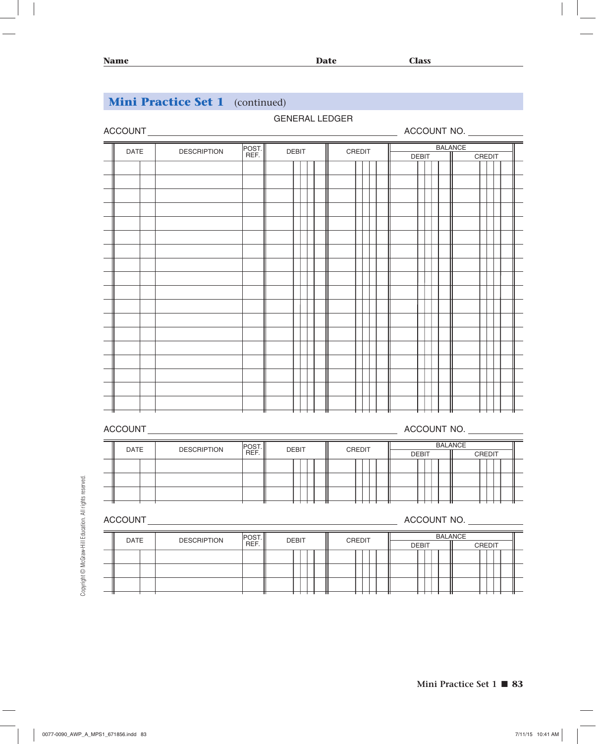# GENERAL LEDGER ACCOUNT ACCOUNT NO.  $\equiv$ DATE DESCRIPTION POST. POST. DEBIT CREDIT <u>DEBIT BALANCE</u><br>REF. DEBIT CREDIT DEBIT II DEBIT **CREDIT**  $\downarrow \downarrow \downarrow$

# ACCOUNT ACCOUNT NO.

| DATE | <b>DESCRIPTION</b> | <b>POST</b> | <b>DEBIT</b> |  | CREDIT |  |              |  | <b>BALANCE</b> |               |  |
|------|--------------------|-------------|--------------|--|--------|--|--------------|--|----------------|---------------|--|
|      |                    | REF.        |              |  |        |  | <b>DEBIT</b> |  |                | <b>CREDIT</b> |  |
|      |                    |             |              |  |        |  |              |  |                |               |  |
|      |                    |             |              |  |        |  |              |  |                |               |  |
|      |                    |             |              |  |        |  |              |  |                |               |  |
|      |                    |             |              |  |        |  |              |  |                |               |  |

ACCOUNT ACCOUNT NO.

| DATE | <b>DESCRIPTION</b> | POS1 | <b>DEBIT</b> |  | CREDIT |  |  |              |  | <b>BALANCE</b> |               |  |
|------|--------------------|------|--------------|--|--------|--|--|--------------|--|----------------|---------------|--|
|      |                    | REF. |              |  |        |  |  | <b>DEBIT</b> |  |                | <b>CREDIT</b> |  |
|      |                    |      |              |  |        |  |  |              |  |                |               |  |
|      |                    |      |              |  |        |  |  |              |  |                |               |  |
|      |                    |      |              |  |        |  |  |              |  |                |               |  |
|      |                    |      |              |  |        |  |  |              |  |                |               |  |
|      |                    |      |              |  |        |  |  |              |  |                |               |  |
|      |                    |      |              |  |        |  |  |              |  |                |               |  |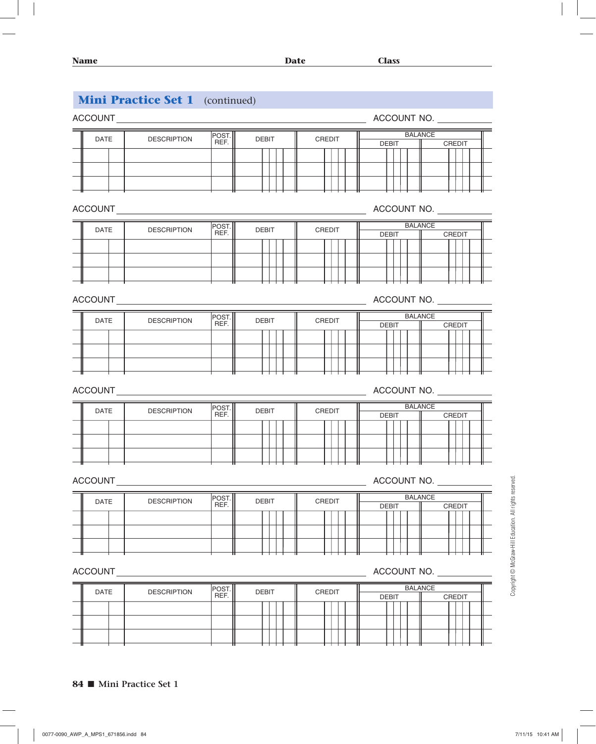| <b>Name</b> |                                        |               | <b>Date</b>  |        | <b>Class</b>                   |                    |
|-------------|----------------------------------------|---------------|--------------|--------|--------------------------------|--------------------|
|             | <b>Mini Practice Set 1</b> (continued) |               |              |        |                                |                    |
|             |                                        |               |              |        | ACCOUNT NO.                    |                    |
| <b>DATE</b> | <b>DESCRIPTION</b>                     | POST.         |              |        | <b>BALANCE</b>                 |                    |
|             |                                        | REF.          | <b>DEBIT</b> | CREDIT | <b>DEBIT</b>                   | CREDIT             |
|             |                                        |               |              |        |                                |                    |
|             |                                        |               |              |        |                                |                    |
|             |                                        |               |              |        |                                |                    |
|             |                                        |               |              |        | ACCOUNT NO.                    |                    |
| <b>DATE</b> | <b>DESCRIPTION</b>                     | POST.<br>REF. | <b>DEBIT</b> | CREDIT | <b>BALANCE</b>                 |                    |
|             |                                        |               |              |        | <b>DEBIT</b>                   | <b>CREDIT</b>      |
|             |                                        |               |              |        |                                |                    |
|             |                                        |               |              |        |                                |                    |
|             |                                        |               |              |        |                                |                    |
|             | <b>ACCOUNT ACCOUNT ACCOUNT</b>         |               |              |        | ACCOUNT NO.                    |                    |
| <b>DATE</b> | <b>DESCRIPTION</b>                     | POST.<br>REF. | <b>DEBIT</b> | CREDIT | <b>BALANCE</b><br><b>DEBIT</b> | <b>CREDIT</b>      |
|             |                                        |               |              |        |                                |                    |
|             |                                        |               |              |        |                                |                    |
|             |                                        |               |              |        |                                |                    |
| ACCOUNT     |                                        |               |              |        | ACCOUNT NO.                    |                    |
|             |                                        |               |              |        | <b>BALANCE</b>                 |                    |
| DATE        | <b>DESCRIPTION</b>                     | POST.<br>REF. | <b>DEBIT</b> | CREDIT | <b>DEBIT</b>                   | CREDIT             |
|             |                                        |               |              |        |                                |                    |
|             |                                        |               |              |        |                                |                    |
|             |                                        |               |              |        |                                |                    |
| ACCOUNT     |                                        |               |              |        | ACCOUNT NO.                    |                    |
|             |                                        |               |              |        |                                |                    |
| DATE        | <b>DESCRIPTION</b>                     | POST.<br>REF. | <b>DEBIT</b> | CREDIT | <b>BALANCE</b><br><b>DEBIT</b> | CREDIT             |
|             |                                        |               |              |        |                                |                    |
|             |                                        |               |              |        |                                |                    |
|             |                                        |               |              |        |                                |                    |
|             |                                        |               |              |        |                                |                    |
| ACCOUNT     |                                        |               |              |        | ACCOUNT NO.                    |                    |
| DATE        | <b>DESCRIPTION</b>                     | POST.<br>REF. | <b>DEBIT</b> | CREDIT | <b>BALANCE</b><br><b>DEBIT</b> | $\parallel$ CREDIT |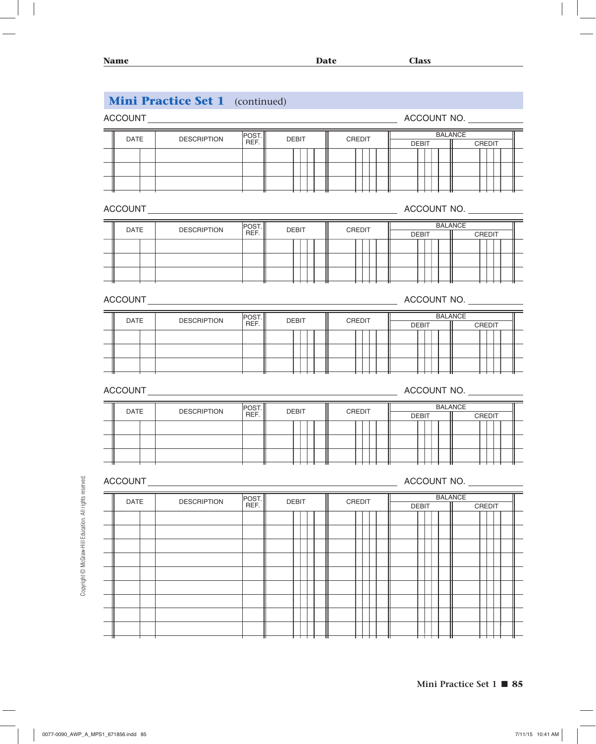# **Mini Practice Set 1** (continued) ACCOUNT ACCOUNT NO. DATE DESCRIPTION POST. POST. DEBIT CREDIT <u>DEBIT BALANCE</u><br>REF. DEBIT CREDIT DEBIT II DEBIT | CREDIT ACCOUNT ACCOUNT ACCOUNT ACCOUNT ACCOUNT ACCOUNT ACCOUNT ACCOUNT ACCOUNT ACCOUNT ACCOUNT ACCOUNT ACCOUNT ACCOUNT ACCOUNT ACCOUNT ACCOUNT ACCOUNT ACCOUNT ACCOUNT ACCOUNT ACCOUNT ACCOUNT ACCOUNT ACCOUNT ACCOUNT ACCOUNT ACCOUN DATE DESCRIPTION POST. POST. DEBIT CREDIT <u>DEBIT BALANCE</u><br>REF. DEBIT CREDIT DEBIT II DEBIT CREDIT ACCOUNT ACCOUNT NO. DATE DESCRIPTION POST. POST. DEBIT CREDIT <u>DEBIT BALANCE</u><br>REF. DEBIT CREDIT DEBIT II DEBIT **CREDIT** ACCOUNT ACCOUNT ACCOUNT ACCOUNT ACCOUNT NO. DATE DESCRIPTION POST. POST. DEBIT CREDIT <u>DEBIT BALANCE</u><br>REF. DEBIT CREDIT <u>DEBIT</u> DEBIT | CREDIT ACCOUNT ACCOUNT ACCOUNT ACCOUNT ACCOUNT ACCOUNT NO. DATE DESCRIPTION POST. POST. DEBIT CREDIT <u>DEBIT BALANCE</u><br>REF. DEBIT CREDIT DEBIT II DEBIT | CREDIT  $\overline{\phantom{a}}$ L,  $\overline{\phantom{0}}$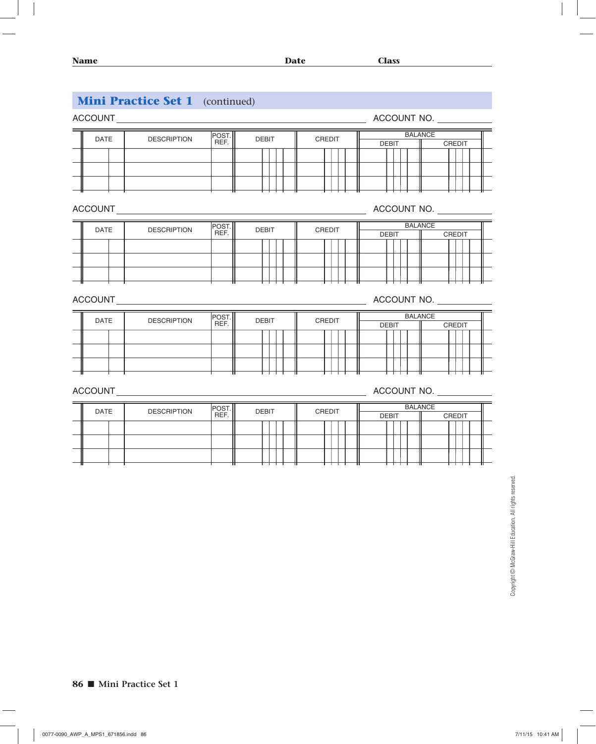| <b>ACCOUNT</b> | <u> 1989 - Jan Stern Stern Stern Stern Stern Stern Stern Stern Stern Stern Stern Stern Stern Stern Stern Stern Stern Stern Stern Stern Stern Stern Stern Stern Stern Stern Stern Stern Stern Stern Stern Stern Stern Stern Stern</u> |                |              |        | ACCOUNT NO.                              |
|----------------|--------------------------------------------------------------------------------------------------------------------------------------------------------------------------------------------------------------------------------------|----------------|--------------|--------|------------------------------------------|
| <b>DATE</b>    | <b>DESCRIPTION</b>                                                                                                                                                                                                                   | POST.<br>REF.  | <b>DEBIT</b> | CREDIT | <b>BALANCE</b><br><b>DEBIT</b><br>CREDIT |
|                |                                                                                                                                                                                                                                      |                |              |        | ACCOUNT NO.                              |
| <b>DATE</b>    | <b>DESCRIPTION</b>                                                                                                                                                                                                                   | POST.<br>REF.  | <b>DEBIT</b> | CREDIT | <b>BALANCE</b><br>CREDIT<br><b>DEBIT</b> |
| ACCOUNT        |                                                                                                                                                                                                                                      |                |              |        | ACCOUNT NO.                              |
| DATE           | <b>DESCRIPTION</b>                                                                                                                                                                                                                   | POST.<br>REF.  | <b>DEBIT</b> | CREDIT | <b>BALANCE</b><br><b>DEBIT</b><br>CREDIT |
| <b>ACCOUNT</b> | <u> 1980 - Andrea State Barbara, poeta esperanto-</u>                                                                                                                                                                                |                |              |        | ACCOUNT NO.                              |
| <b>DATE</b>    | <b>DESCRIPTION</b>                                                                                                                                                                                                                   | POST. <br>REF. | <b>DEBIT</b> | CREDIT | <b>BALANCE</b><br><b>DEBIT</b><br>CREDIT |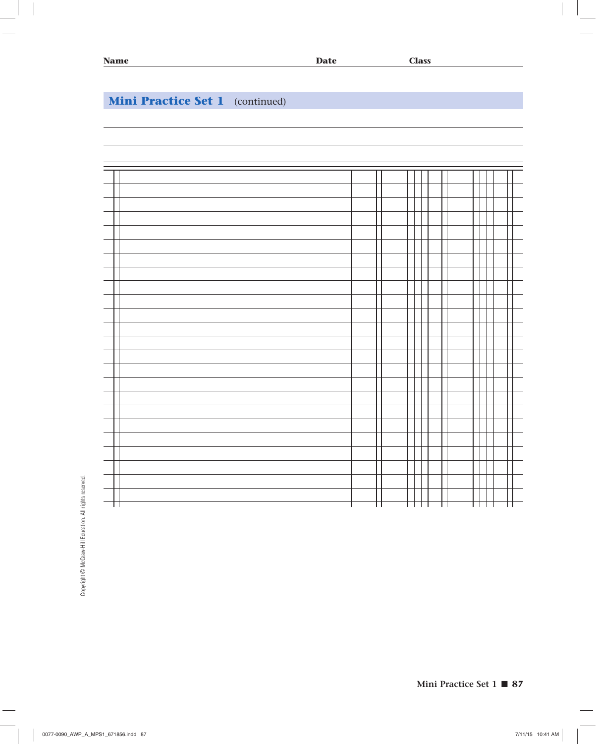

Copyright @ McGraw-Hill Education. All rights reserved. Copyright © McGraw-Hill Education. All rights reserved.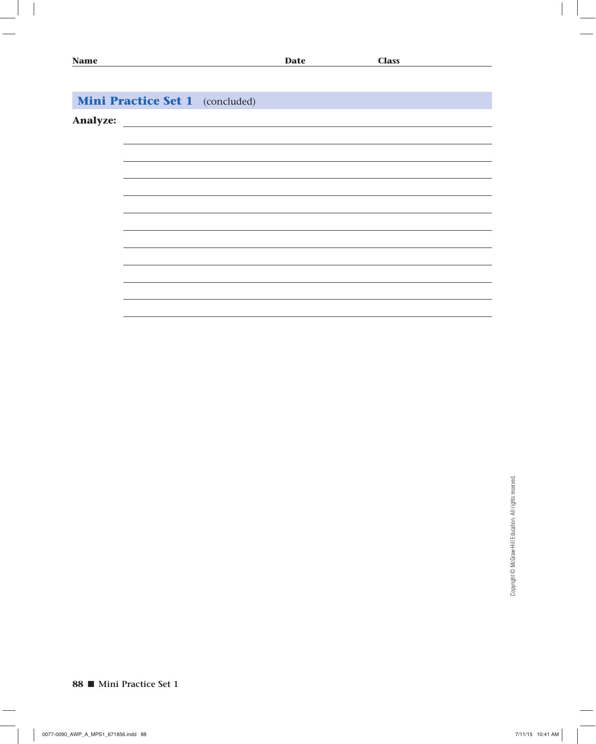| <b>Name</b>     |                                        |                                                                                                                     | <b>Date</b> | <b>Class</b> |  |
|-----------------|----------------------------------------|---------------------------------------------------------------------------------------------------------------------|-------------|--------------|--|
|                 |                                        |                                                                                                                     |             |              |  |
|                 |                                        |                                                                                                                     |             |              |  |
|                 | <b>Mini Practice Set 1</b> (concluded) |                                                                                                                     |             |              |  |
| <b>Analyze:</b> |                                        | <u> 1989 - Johann Barn, mars eta bainar eta baina eta baina eta baina eta baina eta baina eta baina eta baina e</u> |             |              |  |
|                 |                                        |                                                                                                                     |             |              |  |
|                 |                                        |                                                                                                                     |             |              |  |
|                 |                                        |                                                                                                                     |             |              |  |
|                 |                                        |                                                                                                                     |             |              |  |
|                 |                                        |                                                                                                                     |             |              |  |
|                 |                                        |                                                                                                                     |             |              |  |
|                 |                                        |                                                                                                                     |             |              |  |
|                 |                                        |                                                                                                                     |             |              |  |
|                 |                                        |                                                                                                                     |             |              |  |
|                 |                                        |                                                                                                                     |             |              |  |
|                 |                                        |                                                                                                                     |             |              |  |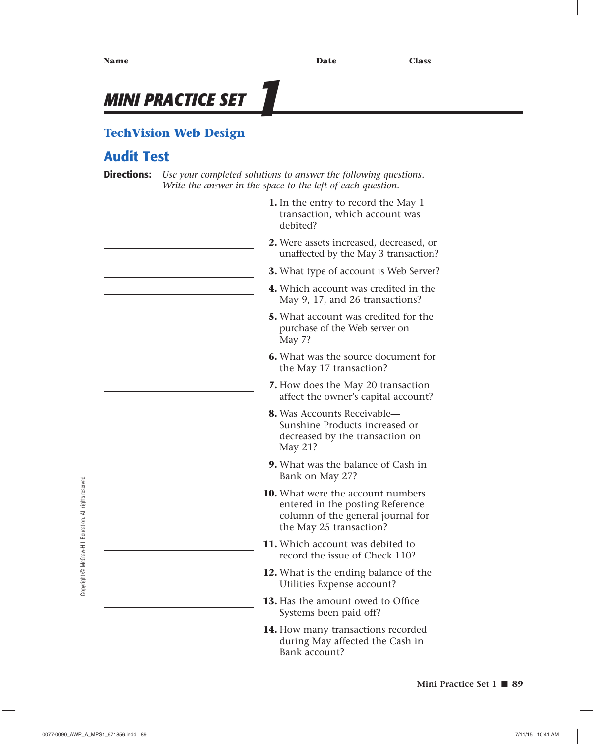# **MINI PRACTICE SET**

# **TechVision Web Design**

# **Audit Test**

**Directions:** *Use your completed solutions to answer the following questions. Write the answer in the space to the left of each question.*

- **1.** In the entry to record the May 1 transaction, which account was debited?
- **2.** Were assets increased, decreased, or unaffected by the May 3 transaction?
- **3.** What type of account is Web Server?
- **4.** Which account was credited in the May 9, 17, and 26 transactions?
- **5.** What account was credited for the purchase of the Web server on May 7?
- **6.** What was the source document for the May 17 transaction?
- **7.** How does the May 20 transaction affect the owner's capital account?
- **8.** Was Accounts Receivable— Sunshine Products increased or decreased by the transaction on May 21?
- **9.** What was the balance of Cash in Bank on May 27?
- **10.** What were the account numbers entered in the posting Reference column of the general journal for the May 25 transaction?
- **11.** Which account was debited to record the issue of Check 110?
- **12.** What is the ending balance of the Utilities Expense account?
- **13.** Has the amount owed to Office Systems been paid off?
- **14.** How many transactions recorded during May affected the Cash in Bank account?

Copyright © McGraw-Hill Education. All rights reserved Copyright © McGraw-Hill Education. All rights reserved.